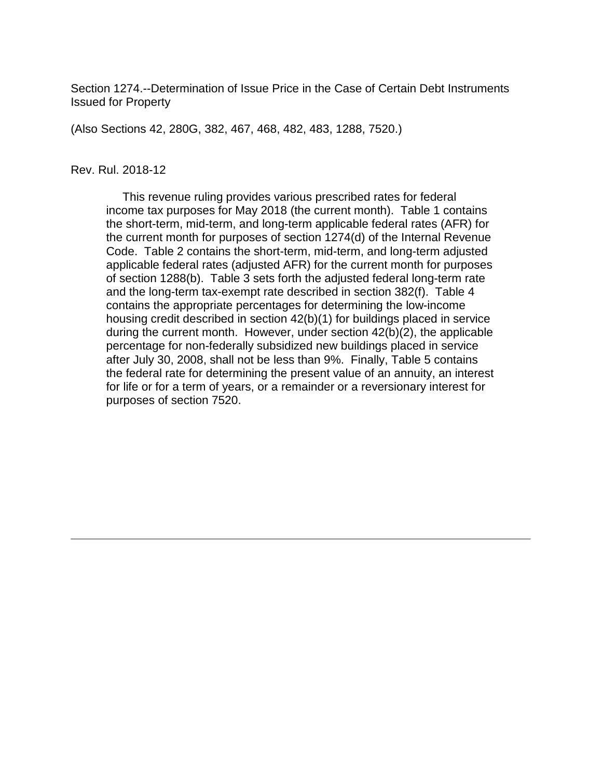Section 1274.--Determination of Issue Price in the Case of Certain Debt Instruments Issued for Property

(Also Sections 42, 280G, 382, 467, 468, 482, 483, 1288, 7520.)

#### Rev. Rul. 2018-12

 This revenue ruling provides various prescribed rates for federal income tax purposes for May 2018 (the current month). Table 1 contains the short-term, mid-term, and long-term applicable federal rates (AFR) for the current month for purposes of section 1274(d) of the Internal Revenue Code. Table 2 contains the short-term, mid-term, and long-term adjusted applicable federal rates (adjusted AFR) for the current month for purposes of section 1288(b). Table 3 sets forth the adjusted federal long-term rate and the long-term tax-exempt rate described in section 382(f). Table 4 contains the appropriate percentages for determining the low-income housing credit described in section 42(b)(1) for buildings placed in service during the current month. However, under section 42(b)(2), the applicable percentage for non-federally subsidized new buildings placed in service after July 30, 2008, shall not be less than 9%. Finally, Table 5 contains the federal rate for determining the present value of an annuity, an interest for life or for a term of years, or a remainder or a reversionary interest for purposes of section 7520.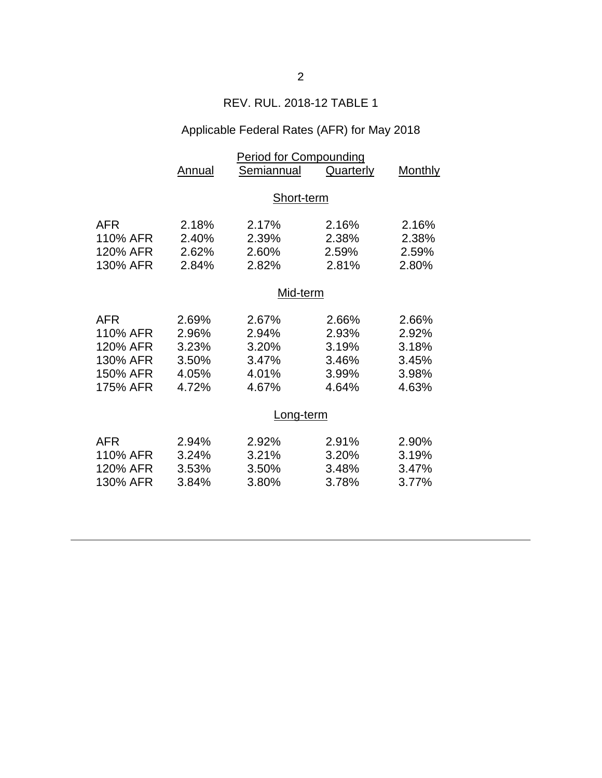## REV. RUL. 2018-12 TABLE 1

# Applicable Federal Rates (AFR) for May 2018

|            | <b>Period for Compounding</b> |            |           |         |  |  |
|------------|-------------------------------|------------|-----------|---------|--|--|
|            | Annual                        | Semiannual | Quarterly | Monthly |  |  |
|            |                               |            |           |         |  |  |
|            | Short-term                    |            |           |         |  |  |
|            |                               |            |           |         |  |  |
| AFR        | 2.18%                         | 2.17%      | 2.16%     | 2.16%   |  |  |
| 110% AFR   | 2.40%                         | 2.39%      | 2.38%     | 2.38%   |  |  |
| 120% AFR   | 2.62%                         | 2.60%      | 2.59%     | 2.59%   |  |  |
| 130% AFR   | 2.84%                         | 2.82%      | 2.81%     | 2.80%   |  |  |
|            |                               |            |           |         |  |  |
|            | Mid-term                      |            |           |         |  |  |
| <b>AFR</b> | 2.69%                         | 2.67%      | 2.66%     | 2.66%   |  |  |
| 110% AFR   | 2.96%                         | 2.94%      | 2.93%     | 2.92%   |  |  |
| 120% AFR   | 3.23%                         | 3.20%      | 3.19%     | 3.18%   |  |  |
| 130% AFR   | 3.50%                         | 3.47%      | 3.46%     | 3.45%   |  |  |
| 150% AFR   | 4.05%                         | 4.01%      | 3.99%     | 3.98%   |  |  |
| 175% AFR   | 4.72%                         | 4.67%      | 4.64%     | 4.63%   |  |  |
|            |                               |            |           |         |  |  |
|            | Long-term                     |            |           |         |  |  |
| <b>AFR</b> | 2.94%                         | 2.92%      | 2.91%     | 2.90%   |  |  |
| 110% AFR   | 3.24%                         | 3.21%      | 3.20%     | 3.19%   |  |  |
| 120% AFR   | 3.53%                         | 3.50%      | 3.48%     | 3.47%   |  |  |
| 130% AFR   | 3.84%                         | 3.80%      | 3.78%     | 3.77%   |  |  |
|            |                               |            |           |         |  |  |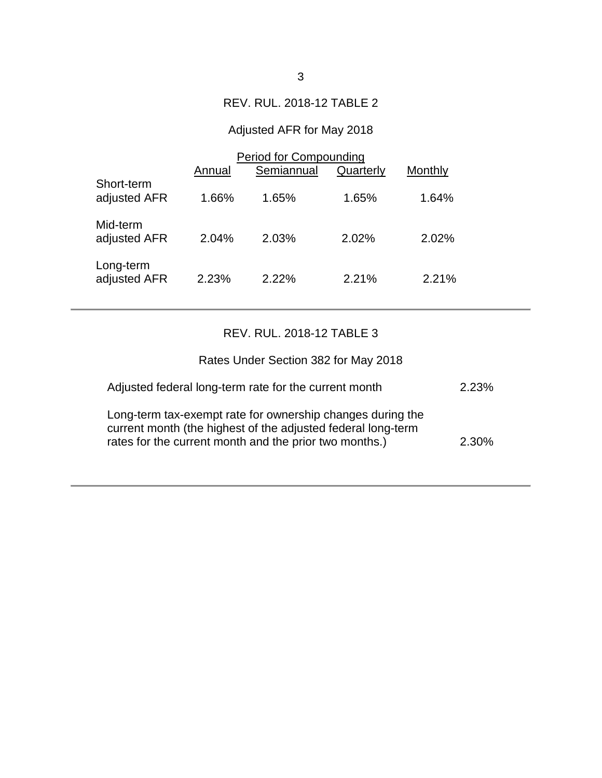## REV. RUL. 2018-12 TABLE 2

# Adjusted AFR for May 2018

|                            | Period for Compounding |            |           |         |  |
|----------------------------|------------------------|------------|-----------|---------|--|
|                            | Annual                 | Semiannual | Quarterly | Monthly |  |
| Short-term<br>adjusted AFR | 1.66%                  | 1.65%      | 1.65%     | 1.64%   |  |
| Mid-term<br>adjusted AFR   | 2.04%                  | 2.03%      | 2.02%     | 2.02%   |  |
| Long-term<br>adjusted AFR  | 2.23%                  | 2.22%      | 2.21%     | 2.21%   |  |

## REV. RUL. 2018-12 TABLE 3

| Rates Under Section 382 for May 2018                                                                                                                                                 |          |
|--------------------------------------------------------------------------------------------------------------------------------------------------------------------------------------|----------|
| Adjusted federal long-term rate for the current month                                                                                                                                | 2.23%    |
| Long-term tax-exempt rate for ownership changes during the<br>current month (the highest of the adjusted federal long-term<br>rates for the current month and the prior two months.) | $2.30\%$ |